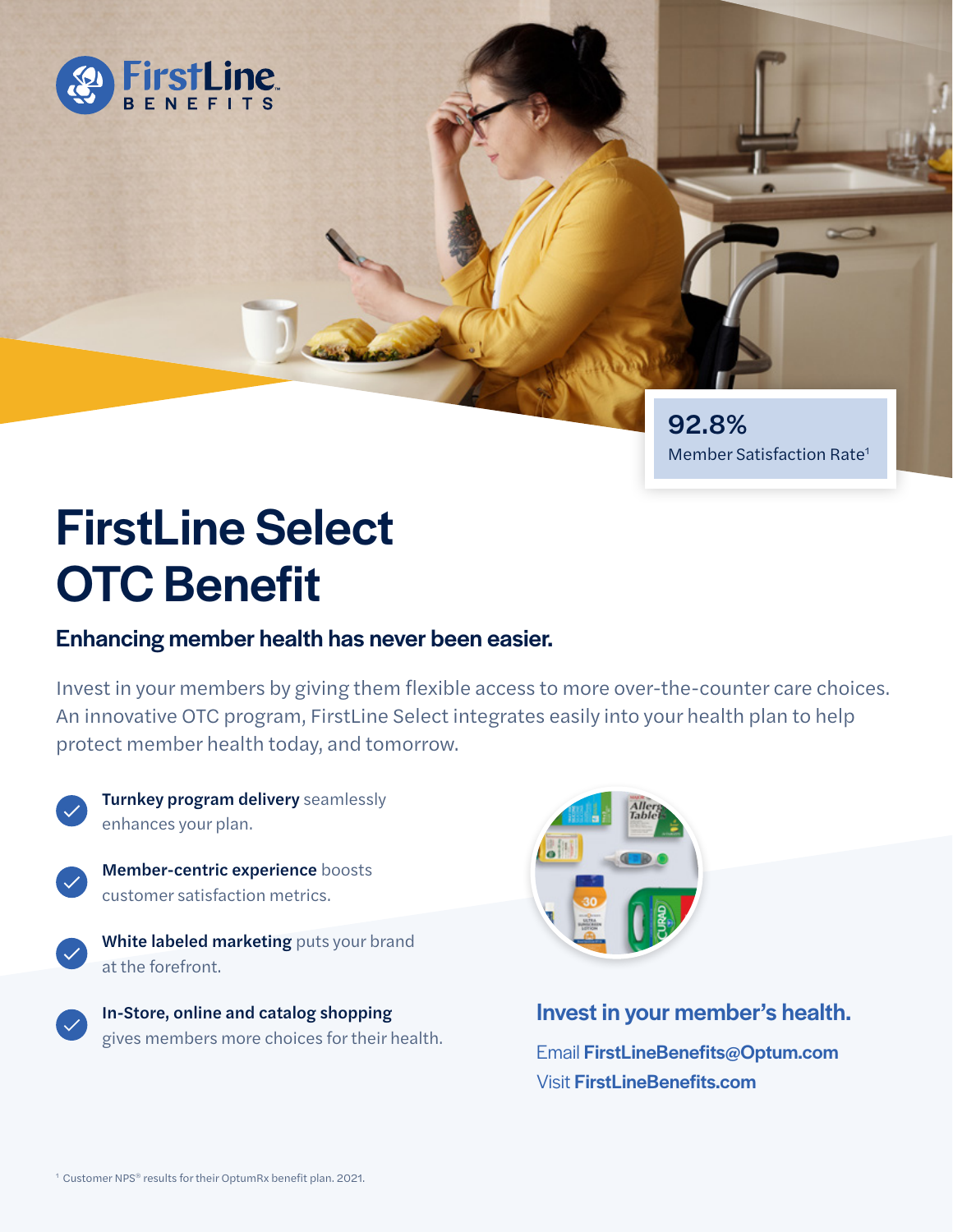

92.8% Member Satisfaction Rate1

# FirstLine Select OTC Benefit

## Enhancing member health has never been easier.

Invest in your members by giving them flexible access to more over-the-counter care choices. An innovative OTC program, FirstLine Select integrates easily into your health plan to help protect member health today, and tomorrow.



Turnkey program delivery seamlessly enhances your plan.



Member-centric experience boosts customer satisfaction metrics.

White labeled marketing puts your brand at the forefront.



In-Store, online and catalog shopping gives members more choices for their health.



## Invest in your member's health.

Email FirstLineBenefits@Optum.com **Visit FirstLineBenefits.com**